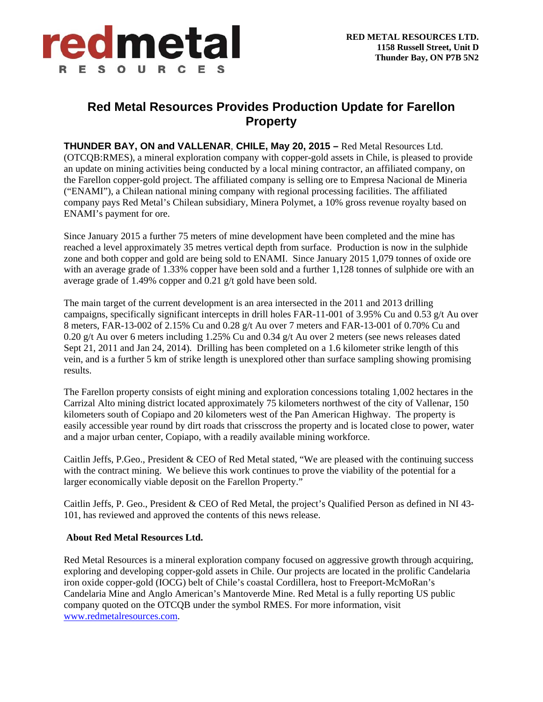

## **Red Metal Resources Provides Production Update for Farellon Property**

**THUNDER BAY, ON and VALLENAR**, **CHILE, May 20, 2015 –** Red Metal Resources Ltd. (OTCQB:RMES), a mineral exploration company with copper-gold assets in Chile, is pleased to provide an update on mining activities being conducted by a local mining contractor, an affiliated company, on the Farellon copper-gold project. The affiliated company is selling ore to Empresa Nacional de Mineria ("ENAMI"), a Chilean national mining company with regional processing facilities. The affiliated company pays Red Metal's Chilean subsidiary, Minera Polymet, a 10% gross revenue royalty based on ENAMI's payment for ore.

Since January 2015 a further 75 meters of mine development have been completed and the mine has reached a level approximately 35 metres vertical depth from surface. Production is now in the sulphide zone and both copper and gold are being sold to ENAMI. Since January 2015 1,079 tonnes of oxide ore with an average grade of 1.33% copper have been sold and a further 1,128 tonnes of sulphide ore with an average grade of 1.49% copper and 0.21 g/t gold have been sold.

The main target of the current development is an area intersected in the 2011 and 2013 drilling campaigns, specifically significant intercepts in drill holes FAR-11-001 of 3.95% Cu and 0.53 g/t Au over 8 meters, FAR-13-002 of 2.15% Cu and 0.28 g/t Au over 7 meters and FAR-13-001 of 0.70% Cu and 0.20 g/t Au over 6 meters including 1.25% Cu and 0.34 g/t Au over 2 meters (see news releases dated Sept 21, 2011 and Jan 24, 2014). Drilling has been completed on a 1.6 kilometer strike length of this vein, and is a further 5 km of strike length is unexplored other than surface sampling showing promising results.

The Farellon property consists of eight mining and exploration concessions totaling 1,002 hectares in the Carrizal Alto mining district located approximately 75 kilometers northwest of the city of Vallenar, 150 kilometers south of Copiapo and 20 kilometers west of the Pan American Highway. The property is easily accessible year round by dirt roads that crisscross the property and is located close to power, water and a major urban center, Copiapo, with a readily available mining workforce.

Caitlin Jeffs, P.Geo., President & CEO of Red Metal stated, "We are pleased with the continuing success with the contract mining. We believe this work continues to prove the viability of the potential for a larger economically viable deposit on the Farellon Property."

Caitlin Jeffs, P. Geo., President & CEO of Red Metal, the project's Qualified Person as defined in NI 43- 101, has reviewed and approved the contents of this news release.

## **About Red Metal Resources Ltd.**

Red Metal Resources is a mineral exploration company focused on aggressive growth through acquiring, exploring and developing copper-gold assets in Chile. Our projects are located in the prolific Candelaria iron oxide copper-gold (IOCG) belt of Chile's coastal Cordillera, host to Freeport-McMoRan's Candelaria Mine and Anglo American's Mantoverde Mine. Red Metal is a fully reporting US public company quoted on the OTCQB under the symbol RMES. For more information, visit www.redmetalresources.com.